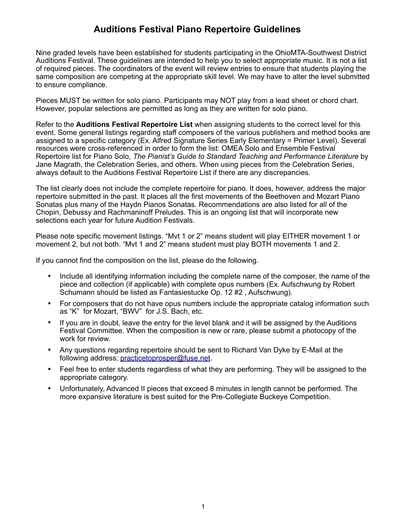## **Auditions Festival Piano Repertoire Guidelines**

Nine graded levels have been established for students participating in the OhioMTA-Southwest District Auditions Festival. These guidelines are intended to help you to select appropriate music. It is not a list of required pieces. The coordinators of the event will review entries to ensure that students playing the same composition are competing at the appropriate skill level. We may have to alter the level submitted to ensure compliance.

Pieces MUST be written for solo piano. Participants may NOT play from a lead sheet or chord chart. However, popular selections are permitted as long as they are written for solo piano.

Refer to the **Auditions Festival Repertoire List** when assigning students to the correct level for this event. Some general listings regarding staff composers of the various publishers and method books are assigned to a specific category (Ex. Alfred Signature Series Early Elementary = Primer Level). Several resources were cross-referenced in order to form the list: OMEA Solo and Ensemble Festival Repertoire list for Piano Solo, *The Pianist's Guide to Standard Teaching and Performance Literature* by Jane Magrath, the Celebration Series, and others. When using pieces from the Celebration Series, always default to the Auditions Festival Repertoire List if there are any discrepancies.

The list clearly does not include the complete repertoire for piano. It does, however, address the major repertoire submitted in the past. It places all the first movements of the Beethoven and Mozart Piano Sonatas plus many of the Haydn Pianos Sonatas. Recommendations are also listed for all of the Chopin, Debussy and Rachmaninoff Preludes. This is an ongoing list that will incorporate new selections each year for future Audition Festivals.

Please note specific movement listings. "Mvt 1 or 2" means student will play EITHER movement 1 or movement 2, but not both. "Mvt 1 and 2" means student must play BOTH movements 1 and 2.

If you cannot find the composition on the list, please do the following.

- ! Include all identifying information including the complete name of the composer, the name of the piece and collection (if applicable) with complete opus numbers (Ex. Aufschwung by Robert Schumann should be listed as Fantasiestucke Op. 12 #2 , Aufschwung).
- ! For composers that do not have opus numbers include the appropriate catalog information such as "K" for Mozart, "BWV" for J.S. Bach, etc.
- If you are in doubt, leave the entry for the level blank and it will be assigned by the Auditions Festival Committee. When the composition is new or rare, please submit a photocopy of the work for review.
- ! Any questions regarding repertoire should be sent to Richard Van Dyke by E-Mail at the following address; [practicetoprosper@fuse.net](mailto:practicetoprosper@fuse.net).
- ! Feel free to enter students regardless of what they are performing. They will be assigned to the appropriate category.
- ! Unfortunately, Advanced II pieces that exceed 8 minutes in length cannot be performed. The more expansive literature is best suited for the Pre-Collegiate Buckeye Competition.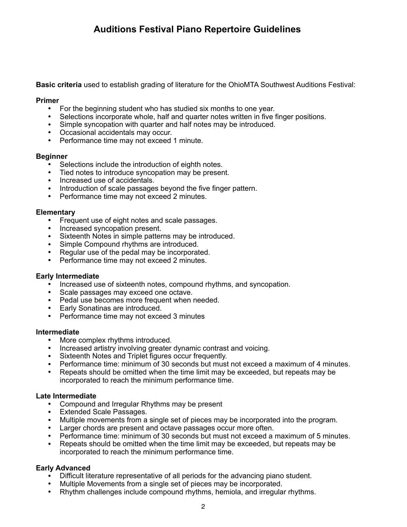# **Auditions Festival Piano Repertoire Guidelines**

**Basic criteria** used to establish grading of literature for the OhioMTA Southwest Auditions Festival:

#### **Primer**

- For the beginning student who has studied six months to one year.
- Selections incorporate whole, half and quarter notes written in five finger positions.
- Simple syncopation with quarter and half notes may be introduced.
- Occasional accidentals may occur.
- Performance time may not exceed 1 minute.

#### **Beginner**

- Selections include the introduction of eighth notes.
- Tied notes to introduce syncopation may be present.
- Increased use of accidentals.
- Introduction of scale passages beyond the five finger pattern.
- Performance time may not exceed 2 minutes.

#### **Elementary**

- Frequent use of eight notes and scale passages.
- Increased syncopation present.
- Sixteenth Notes in simple patterns may be introduced.
- Simple Compound rhythms are introduced.
- Regular use of the pedal may be incorporated.
- Performance time may not exceed 2 minutes.

#### **Early Intermediate**

- Increased use of sixteenth notes, compound rhythms, and syncopation.
- Scale passages may exceed one octave.
- Pedal use becomes more frequent when needed.
- Early Sonatinas are introduced.
- Performance time may not exceed 3 minutes

#### **Intermediate**

- More complex rhythms introduced.
- Increased artistry involving greater dynamic contrast and voicing.
- Sixteenth Notes and Triplet figures occur frequently.
- Performance time: minimum of 30 seconds but must not exceed a maximum of 4 minutes.
- Repeats should be omitted when the time limit may be exceeded, but repeats may be incorporated to reach the minimum performance time.

#### **Late Intermediate**

- Compound and Irregular Rhythms may be present
- Extended Scale Passages.
- Multiple movements from a single set of pieces may be incorporated into the program.
- Larger chords are present and octave passages occur more often.
- Performance time: minimum of 30 seconds but must not exceed a maximum of 5 minutes.
- Repeats should be omitted when the time limit may be exceeded, but repeats may be incorporated to reach the minimum performance time.

#### **Early Advanced**

- Difficult literature representative of all periods for the advancing piano student.
- Multiple Movements from a single set of pieces may be incorporated.
- Rhythm challenges include compound rhythms, hemiola, and irregular rhythms.